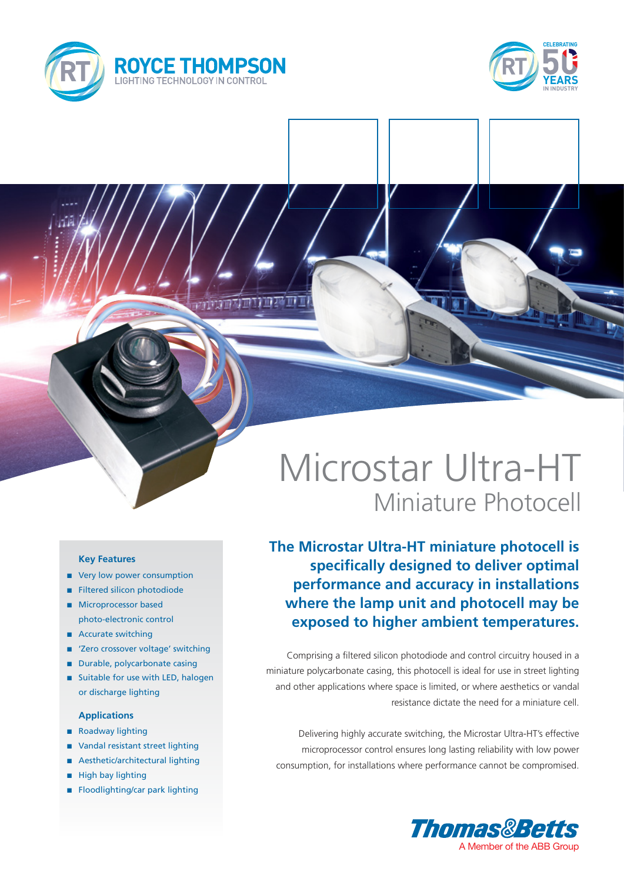



# Microstar Ultra-HT Miniature Photocell

**The Microstar Ultra-HT miniature photocell is specifically designed to deliver optimal performance and accuracy in installations where the lamp unit and photocell may be exposed to higher ambient temperatures.**

Comprising a filtered silicon photodiode and control circuitry housed in a miniature polycarbonate casing, this photocell is ideal for use in street lighting and other applications where space is limited, or where aesthetics or vandal resistance dictate the need for a miniature cell.

Delivering highly accurate switching, the Microstar Ultra-HT's effective microprocessor control ensures long lasting reliability with low power consumption, for installations where performance cannot be compromised.



### **Key Features**

- very low power consumption
- **n** Filtered silicon photodiode
- **n** Microprocessor based photo-electronic control
- Accurate switching
- 'Zero crossover voltage' switching
- Durable, polycarbonate casing
- Suitable for use with LED, halogen or discharge lighting

#### **Applications**

- Roadway lighting
- Vandal resistant street lighting
- Aesthetic/architectural lighting
- $\blacksquare$  High bay lighting
- Floodlighting/car park lighting